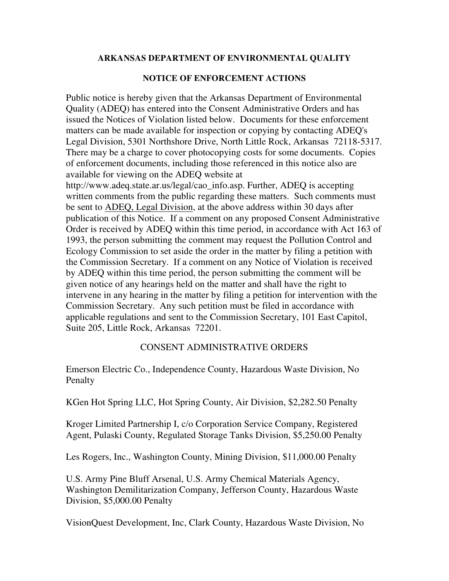#### **ARKANSAS DEPARTMENT OF ENVIRONMENTAL QUALITY**

## **NOTICE OF ENFORCEMENT ACTIONS**

Public notice is hereby given that the Arkansas Department of Environmental Quality (ADEQ) has entered into the Consent Administrative Orders and has issued the Notices of Violation listed below. Documents for these enforcement matters can be made available for inspection or copying by contacting ADEQ's Legal Division, 5301 Northshore Drive, North Little Rock, Arkansas 72118-5317. There may be a charge to cover photocopying costs for some documents. Copies of enforcement documents, including those referenced in this notice also are available for viewing on the ADEQ website at

http://www.adeq.state.ar.us/legal/cao\_info.asp. Further, ADEQ is accepting written comments from the public regarding these matters. Such comments must be sent to ADEQ, Legal Division, at the above address within 30 days after publication of this Notice. If a comment on any proposed Consent Administrative Order is received by ADEQ within this time period, in accordance with Act 163 of 1993, the person submitting the comment may request the Pollution Control and Ecology Commission to set aside the order in the matter by filing a petition with the Commission Secretary. If a comment on any Notice of Violation is received by ADEQ within this time period, the person submitting the comment will be given notice of any hearings held on the matter and shall have the right to intervene in any hearing in the matter by filing a petition for intervention with the Commission Secretary. Any such petition must be filed in accordance with applicable regulations and sent to the Commission Secretary, 101 East Capitol, Suite 205, Little Rock, Arkansas 72201.

# CONSENT ADMINISTRATIVE ORDERS

Emerson Electric Co., Independence County, Hazardous Waste Division, No Penalty

KGen Hot Spring LLC, Hot Spring County, Air Division, \$2,282.50 Penalty

Kroger Limited Partnership I, c/o Corporation Service Company, Registered Agent, Pulaski County, Regulated Storage Tanks Division, \$5,250.00 Penalty

Les Rogers, Inc., Washington County, Mining Division, \$11,000.00 Penalty

U.S. Army Pine Bluff Arsenal, U.S. Army Chemical Materials Agency, Washington Demilitarization Company, Jefferson County, Hazardous Waste Division, \$5,000.00 Penalty

VisionQuest Development, Inc, Clark County, Hazardous Waste Division, No